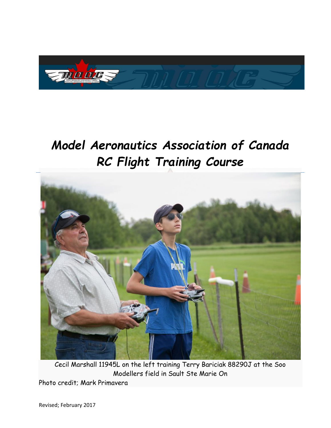

# *Model Aeronautics Association of Canada RC Flight Training Course*



Cecil Marshall 11945L on the left training Terry Bariciak 88290J at the Soo Modellers field in Sault Ste Marie On Photo credit; Mark Primavera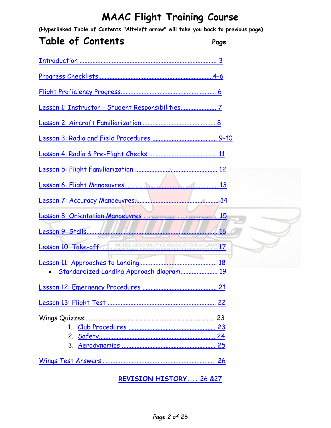**(Hyperlinked Table of Contents "Alt+left arrow" will take you back to previous page)**

### **Table of Contents Page**

| Standardized Landing Approach diagram 19 |  |
|------------------------------------------|--|
|                                          |  |
|                                          |  |
|                                          |  |
|                                          |  |
|                                          |  |
|                                          |  |
|                                          |  |

#### <span id="page-1-0"></span>**[REVISION HISTORY....](#page-24-1)** 26 &27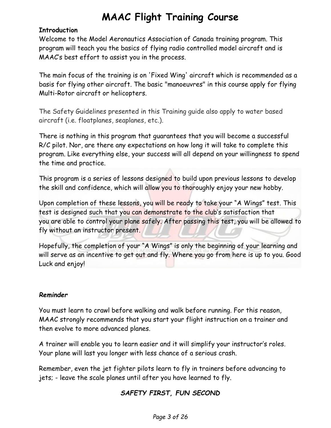#### **Introduction**

Welcome to the Model Aeronautics Association of Canada training program. This program will teach you the basics of flying radio controlled model aircraft and is MAAC's best effort to assist you in the process.

The main focus of the training is on 'Fixed Wing' aircraft which is recommended as a basis for flying other aircraft. The basic "manoeuvres" in this course apply for flying Multi-Rotor aircraft or helicopters.

The Safety Guidelines presented in this Training guide also apply to water based aircraft (i.e. floatplanes, seaplanes, etc.).

There is nothing in this program that guarantees that you will become a successful R/C pilot. Nor, are there any expectations on how long it will take to complete this program. Like everything else, your success will all depend on your willingness to spend the time and practice.

This program is a series of lessons designed to build upon previous lessons to develop the skill and confidence, which will allow you to thoroughly enjoy your new hobby.

Upon completion of these lessons, you will be ready to take your "A Wings" test. This test is designed such that you can demonstrate to the club's satisfaction that you are able to control your plane safely. After passing this test, you will be allowed to fly without an instructor present.

Hopefully, the completion of your "A Wings" is only the beginning of your learning and will serve as an incentive to get out and fly. Where you go from here is up to you. Good Luck and enjoy!

#### *Reminder*

You must learn to crawl before walking and walk before running. For this reason, MAAC strongly recommends that you start your flight instruction on a trainer and then evolve to more advanced planes.

A trainer will enable you to learn easier and it will simplify your instructor's roles. Your plane will last you longer with less chance of a serious crash.

Remember, even the jet fighter pilots learn to fly in trainers before advancing to jets; - leave the scale planes until after you have learned to fly.

#### *SAFETY FIRST, FUN SECOND*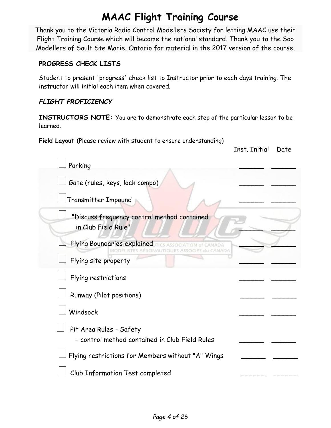Thank you to the Victoria Radio Control Modellers Society for letting MAAC use their Flight Training Course which will become the national standard. Thank you to the Soo Modellers of Sault Ste Marie, Ontario for material in the 2017 version of the course.

#### <span id="page-3-0"></span>**PROGRESS CHECK LISTS**

Student to present 'progress' check list to Instructor prior to each days training. The instructor will initial each item when covered.

#### *FLIGHT PROFICIENCY*

**INSTRUCTORS NOTE:** You are to demonstrate each step of the particular lesson to be learned.

Inst. Initial Date

**Field Layout** (Please review with student to ensure understanding)

| Parking                                                                   |  |
|---------------------------------------------------------------------------|--|
| Gate (rules, keys, lock compo)                                            |  |
| Transmitter Impound                                                       |  |
| "Discuss frequency control method contained<br>in Club Field Rule"        |  |
| Flying Boundaries explained                                               |  |
| Flying site property                                                      |  |
| Flying restrictions                                                       |  |
| Runway (Pilot positions)                                                  |  |
| Windsock                                                                  |  |
| Pit Area Rules - Safety<br>- control method contained in Club Field Rules |  |
| Flying restrictions for Members without "A" Wings                         |  |
| Club Information Test completed                                           |  |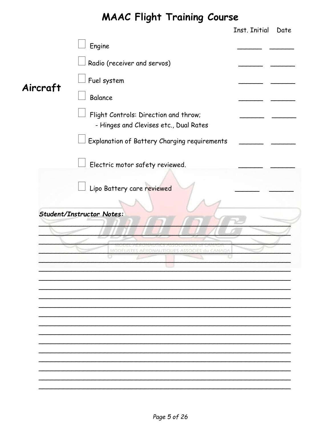<span id="page-4-0"></span>

|          |                                                                                 | Inst. Initial | Date |
|----------|---------------------------------------------------------------------------------|---------------|------|
|          | Engine                                                                          |               |      |
|          | Radio (receiver and servos)                                                     |               |      |
| Aircraft | Fuel system                                                                     |               |      |
|          | Balance                                                                         |               |      |
|          | Flight Controls: Direction and throw;<br>- Hinges and Clevises etc., Dual Rates |               |      |
|          | <b>Explanation of Battery Charging requirements</b>                             |               |      |
|          | Electric motor safety reviewed.                                                 |               |      |
|          | Lipo Battery care reviewed                                                      |               |      |
|          |                                                                                 |               |      |
|          | <b>Student/Instructor Notes:</b>                                                |               |      |
|          |                                                                                 |               |      |
|          | MODELISTES AERONAUTIQUES<br>ASSOCIES du CANADA                                  |               |      |
|          |                                                                                 |               |      |
|          |                                                                                 |               |      |
|          |                                                                                 |               |      |
|          |                                                                                 |               |      |
|          |                                                                                 |               |      |
|          |                                                                                 |               |      |
|          |                                                                                 |               |      |
|          |                                                                                 |               |      |
|          |                                                                                 |               |      |
|          |                                                                                 |               |      |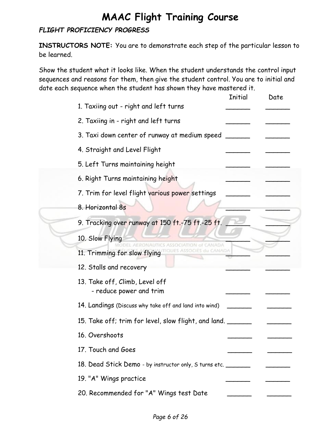#### *FLIGHT PROFICIENCY PROGRESS*

**INSTRUCTORS NOTE:** You are to demonstrate each step of the particular lesson to be learned.

Show the student what it looks like. When the student understands the control input sequences and reasons for them, then give the student control. You are to initial and date each sequence when the student has shown they have mastered it.

| 1. Taxiing out - right and left turns                        |  |
|--------------------------------------------------------------|--|
|                                                              |  |
| 2. Taxiing in - right and left turns                         |  |
| 3. Taxi down center of runway at medium speed                |  |
| 4. Straight and Level Flight                                 |  |
| 5. Left Turns maintaining height                             |  |
| 6. Right Turns maintaining height                            |  |
| 7. Trim for level flight various power settings              |  |
| 8. Horizontal 8s                                             |  |
| 9. Tracking over runway at 150 ft.-75 ft.-25 ft.             |  |
| 10. Slow Flying<br>INAUTICS ASSOCIATION of CANADA            |  |
| <b>LI CANADA</b><br>ASSOCIES<br>11. Trimming for slow flying |  |
| 12. Stalls and recovery                                      |  |
| 13. Take off, Climb, Level off<br>- reduce power and trim    |  |
| 14. Landings (Discuss why take off and land into wind)       |  |
| 15. Take off; trim for level, slow flight, and land. __      |  |
| 16. Overshoots                                               |  |
| 17. Touch and Goes                                           |  |
| 18. Dead Stick Demo - by instructor only, S turns etc.       |  |
| 19. "A" Wings practice                                       |  |
| 20. Recommended for "A" Wings test Date                      |  |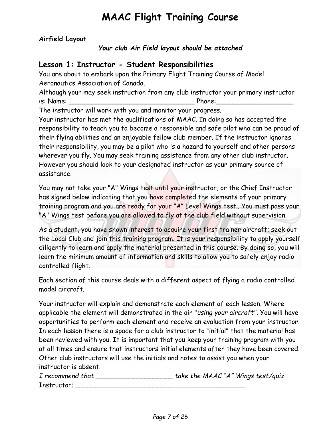**Airfield Layout**

*Your club Air Field layout should be attached*

#### <span id="page-6-0"></span>**Lesson 1: Instructor - Student Responsibilities**

You are about to embark upon the Primary Flight Training Course of Model Aeronautics Association of Canada.

Although your may seek instruction from any club instructor your primary instructor is: Name: \_\_\_\_\_\_\_\_\_\_\_\_\_\_\_\_\_\_\_\_\_\_\_\_\_\_\_\_\_\_\_ Phone:\_\_\_\_\_\_\_\_\_\_\_\_\_\_\_\_\_\_\_

The instructor will work with you and monitor your progress.

Your instructor has met the qualifications of MAAC. In doing so has accepted the responsibility to teach you to become a responsible and safe pilot who can be proud of their flying abilities and an enjoyable fellow club member. If the instructor ignores their responsibility, you may be a pilot who is a hazard to yourself and other persons wherever you fly. You may seek training assistance from any other club instructor. However you should look to your designated instructor as your primary source of assistance.

You may not take your "A" Wings test until your instructor, or the Chief Instructor has signed below indicating that you have completed the elements of your primary training program and you are ready for your "A" Level Wings test.. You must pass your "A" Wings test before you are allowed to fly at the club field without supervision.

As a student, you have shown interest to acquire your first trainer aircraft; seek out the Local Club and join this training program. It is your responsibility to apply yourself diligently to learn and apply the material presented in this course. By doing so, you will learn the minimum amount of information and skills to allow you to safely enjoy radio controlled flight.

Each section of this course deals with a different aspect of flying a radio controlled model aircraft.

Your instructor will explain and demonstrate each element of each lesson. Where applicable the element will demonstrated in the air "*using your aircraft".* You will have opportunities to perform each element and receive an evaluation from your instructor. In each lesson there is a space for a club instructor to "initial" that the material has been reviewed with you. It is important that you keep your training program with you at all times and ensure that instructors initial elements after they have been covered. Other club instructors will use the initials and notes to assist you when your instructor is absent.

<span id="page-6-1"></span>*I recommend that \_\_\_\_\_\_\_\_\_\_\_\_\_\_\_\_\_\_\_ take the MAAC "A" Wings test/quiz.* Instructor; *\_\_\_\_\_\_\_\_\_\_\_\_\_\_\_\_\_\_\_\_\_\_\_\_\_\_\_\_\_\_\_\_\_\_\_\_\_\_\_\_\_\_*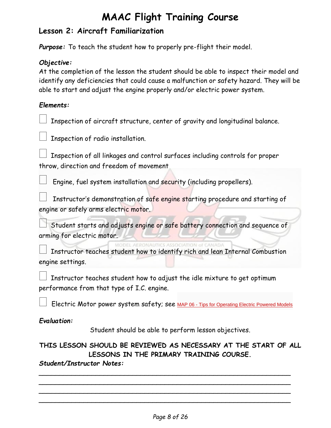#### **Lesson 2: Aircraft Familiarization**

*Purpose:* To teach the student how to properly pre-flight their model.

#### *Objective:*

At the completion of the lesson the student should be able to inspect their model and identify any deficiencies that could cause a malfunction or safety hazard. They will be able to start and adjust the engine properly and/or electric power system.

#### *Elements:*

Inspection of aircraft structure, center of gravity and longitudinal balance.

Inspection of radio installation.

 Inspection of all linkages and control surfaces including controls for proper throw, direction and freedom of movement

Engine, fuel system installation and security (including propellers).

 Instructor's demonstration of safe engine starting procedure and starting of engine or safely arms electric motor.

 Student starts and adjusts engine or safe battery connection and sequence of arming for electric motor.

Instructor teaches student how to identify rich and lean Internal Combustion engine settings.

 Instructor teaches student how to adjust the idle mixture to get optimum performance from that type of I.C. engine.

Electric Motor power system safety; see MAP 06 - [Tips for Operating Electric Powered Models](https://secure.maac.ca/get_document.php?document_id=69)

#### *Evaluation:*

Student should be able to perform lesson objectives.

#### **THIS LESSON SHOULD BE REVIEWED AS NECESSARY AT THE START OF ALL LESSONS IN THE PRIMARY TRAINING COURSE.**

*\_\_\_\_\_\_\_\_\_\_\_\_\_\_\_\_\_\_\_\_\_\_\_\_\_\_\_\_\_\_\_\_\_\_\_\_\_\_\_\_\_\_\_\_\_\_\_\_\_\_\_\_\_\_\_\_\_\_\_\_\_\_ \_\_\_\_\_\_\_\_\_\_\_\_\_\_\_\_\_\_\_\_\_\_\_\_\_\_\_\_\_\_\_\_\_\_\_\_\_\_\_\_\_\_\_\_\_\_\_\_\_\_\_\_\_\_\_\_\_\_\_\_\_\_ \_\_\_\_\_\_\_\_\_\_\_\_\_\_\_\_\_\_\_\_\_\_\_\_\_\_\_\_\_\_\_\_\_\_\_\_\_\_\_\_\_\_\_\_\_\_\_\_\_\_\_\_\_\_\_\_\_\_\_\_\_\_ \_\_\_\_\_\_\_\_\_\_\_\_\_\_\_\_\_\_\_\_\_\_\_\_\_\_\_\_\_\_\_\_\_\_\_\_\_\_\_\_\_\_\_\_\_\_\_\_\_\_\_\_\_\_\_\_\_\_\_\_\_\_*

#### *Student/Instructor Notes:*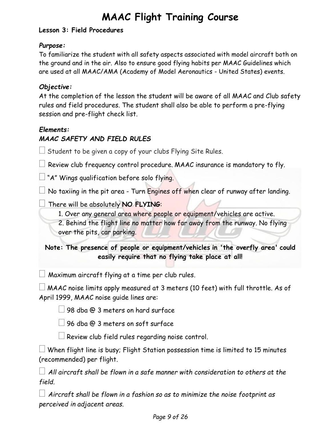#### <span id="page-8-0"></span>**Lesson 3: Field Procedures**

#### *Purpose:*

To familiarize the student with all safety aspects associated with model aircraft both on the ground and in the air. Also to ensure good flying habits per MAAC Guidelines which are used at all MAAC/AMA (Academy of Model Aeronautics - United States) events.

#### *Objective:*

At the completion of the lesson the student will be aware of all MAAC and Club safety rules and field procedures. The student shall also be able to perform a pre-flying session and pre-flight check list.

#### *Elements:*

#### *MAAC SAFETY AND FIELD RULES*

 $\Box$  Student to be given a copy of your clubs Flying Site Rules.

 $\Box$  Review club frequency control procedure. MAAC insurance is mandatory to fly.

 $\Box$  "A" Wings qualification before solo flying.

 $\Box$  No taxiing in the pit area - Turn Engines off when clear of runway after landing.

There will be absolutely **NO FLYING**:

1. Over any general area where people or equipment/vehicles are active.

2. Behind the flight line no matter how far away from the runway. No flying over the pits, car parking.

**Note: The presence of people or equipment/vehicles in 'the overfly area' could easily require that no flying take place at all!**

 $\Box$  Maximum aircraft flying at a time per club rules.

 $\Box$  MAAC noise limits apply measured at 3 meters (10 feet) with full throttle. As of April 1999, MAAC noise guide lines are:

98 dba @ 3 meters on hard surface

 $\Box$  96 dba @ 3 meters on soft surface

 $\Box$  Review club field rules regarding noise control.

 $\Box$  When flight line is busy; Flight Station possession time is limited to 15 minutes (recommended) per flight.

 *All aircraft shall be flown in a safe manner with consideration to others at the field.*

 *Aircraft shall be flown in a fashion so as to minimize the noise footprint as perceived in adjacent areas.*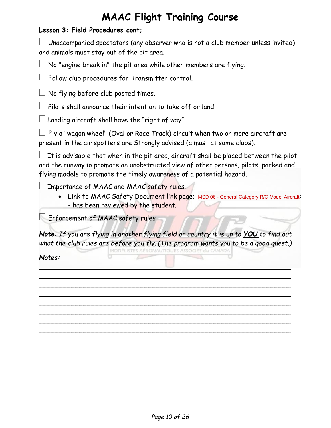#### **Lesson 3: Field Procedures cont;**

 $\Box$  Unaccompanied spectators (any observer who is not a club member unless invited) and animals must stay out of the pit area.

No "engine break in" the pit area while other members are flying.

 $\Box$  Follow club procedures for Transmitter control.

 $\Box$  No flying before club posted times.

Pilots shall announce their intention to take off or land.

 $\Box$  Landing aircraft shall have the "right of way".

 $\Box$  Fly a "wagon wheel" (Oval or Race Track) circuit when two or more aircraft are present in the air spotters are Strongly advised (a must at some clubs).

 $\Box$  It is advisable that when in the pit area, aircraft shall be placed between the pilot and the runway to promote an unobstructed view of other persons, pilots, parked and flying models to promote the timely awareness of a potential hazard.

Importance of MAAC and MAAC safety rules.

• Link to MAAC Safety Document link page; MSD 06 - [General Category R/C Model Aircraft](https://secure.maac.ca/get_document.php?document_id=38): - has been reviewed by the student.

 $\Box$  Enforcement of MAAC safety rules

*Note: If you are flying in another flying field or country it is up to YOU to find out what the club rules are before you fly. (The program wants you to be a good guest.)* MODÉLISTES AÉRONAUTIQUES ASSOCIÉS du CANADA

<span id="page-9-0"></span>*\_\_\_\_\_\_\_\_\_\_\_\_\_\_\_\_\_\_\_\_\_\_\_\_\_\_\_\_\_\_\_\_\_\_\_\_\_\_\_\_\_\_\_\_\_\_\_\_\_\_\_\_\_\_\_\_\_\_\_\_\_\_ \_\_\_\_\_\_\_\_\_\_\_\_\_\_\_\_\_\_\_\_\_\_\_\_\_\_\_\_\_\_\_\_\_\_\_\_\_\_\_\_\_\_\_\_\_\_\_\_\_\_\_\_\_\_\_\_\_\_\_\_\_\_ \_\_\_\_\_\_\_\_\_\_\_\_\_\_\_\_\_\_\_\_\_\_\_\_\_\_\_\_\_\_\_\_\_\_\_\_\_\_\_\_\_\_\_\_\_\_\_\_\_\_\_\_\_\_\_\_\_\_\_\_\_\_ \_\_\_\_\_\_\_\_\_\_\_\_\_\_\_\_\_\_\_\_\_\_\_\_\_\_\_\_\_\_\_\_\_\_\_\_\_\_\_\_\_\_\_\_\_\_\_\_\_\_\_\_\_\_\_\_\_\_\_\_\_\_ \_\_\_\_\_\_\_\_\_\_\_\_\_\_\_\_\_\_\_\_\_\_\_\_\_\_\_\_\_\_\_\_\_\_\_\_\_\_\_\_\_\_\_\_\_\_\_\_\_\_\_\_\_\_\_\_\_\_\_\_\_\_ \_\_\_\_\_\_\_\_\_\_\_\_\_\_\_\_\_\_\_\_\_\_\_\_\_\_\_\_\_\_\_\_\_\_\_\_\_\_\_\_\_\_\_\_\_\_\_\_\_\_\_\_\_\_\_\_\_\_\_\_\_\_ \_\_\_\_\_\_\_\_\_\_\_\_\_\_\_\_\_\_\_\_\_\_\_\_\_\_\_\_\_\_\_\_\_\_\_\_\_\_\_\_\_\_\_\_\_\_\_\_\_\_\_\_\_\_\_\_\_\_\_\_\_\_ \_\_\_\_\_\_\_\_\_\_\_\_\_\_\_\_\_\_\_\_\_\_\_\_\_\_\_\_\_\_\_\_\_\_\_\_\_\_\_\_\_\_\_\_\_\_\_\_\_\_\_\_\_\_\_\_\_\_\_\_\_\_ \_\_\_\_\_\_\_\_\_\_\_\_\_\_\_\_\_\_\_\_\_\_\_\_\_\_\_\_\_\_\_\_\_\_\_\_\_\_\_\_\_\_\_\_\_\_\_\_\_\_\_\_\_\_\_\_\_\_\_\_\_\_*

*Notes:*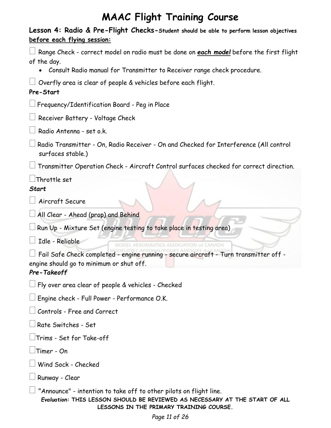<span id="page-10-0"></span>

| Lesson 4: Radio & Pre-Flight Checks-Student should be able to perform lesson objectives<br>before each flying session:                                                                       |
|----------------------------------------------------------------------------------------------------------------------------------------------------------------------------------------------|
| Range Check - correct model on radio must be done on each model before the first flight<br>of the day.                                                                                       |
| Consult Radio manual for Transmitter to Receiver range check procedure.                                                                                                                      |
| Overfly area is clear of people & vehicles before each flight.<br>Pre-Start                                                                                                                  |
| Frequency/Identification Board - Peg in Place [                                                                                                                                              |
| Receiver Battery - Voltage Check                                                                                                                                                             |
| Radio Antenna - set o.k.                                                                                                                                                                     |
| Radio Transmitter - On, Radio Receiver - On and Checked for Interference (All control<br>surfaces stable.)                                                                                   |
| Transmitter Operation Check - Aircraft Control surfaces checked for correct direction.                                                                                                       |
| Throttle set                                                                                                                                                                                 |
| <b>Start</b>                                                                                                                                                                                 |
| Aircraft Secure                                                                                                                                                                              |
| $\Box$ All Clear - Ahead (prop) and Behind                                                                                                                                                   |
| Run Up - Mixture Set (engine testing to take place in testing area)                                                                                                                          |
| Idle - Reliable                                                                                                                                                                              |
| $\Box$ Fail Safe Check completed - engine running - secure aircraft - Turn transmitter off -<br>engine should go to minimum or shut off.<br>Pre-Takeoff                                      |
| $\Box$ Fly over area clear of people & vehicles - Checked                                                                                                                                    |
| $\Box$ Engine check - Full Power - Performance O.K.                                                                                                                                          |
|                                                                                                                                                                                              |
| $\Box$ Rate Switches - Set                                                                                                                                                                   |
| $\Box$ Trims - Set for Take-off                                                                                                                                                              |
| Timer - On                                                                                                                                                                                   |
|                                                                                                                                                                                              |
| $\!\!\!\Box$ Runway - Clear                                                                                                                                                                  |
| "Announce" - intention to take off to other pilots on flight line.<br>Evaluation: THIS LESSON SHOULD BE REVIEWED AS NECESSARY AT THE START OF ALL<br>LESSONS IN THE PRIMARY TRAINING COURSE. |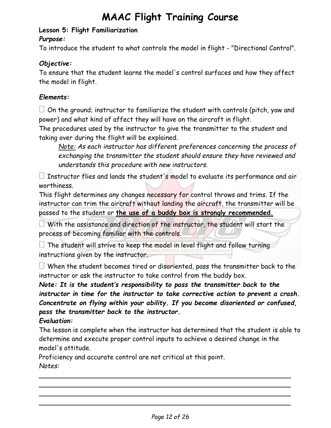#### **Lesson 5: Flight Familiarization**

#### *Purpose:*

To introduce the student to what controls the model in flight - "Directional Control".

#### *Objective:*

To ensure that the student learns the model's control surfaces and how they affect the model in flight.

#### *Elements:*

 $\Box$  On the ground; instructor to familiarize the student with controls (pitch, yaw and power) and what kind of affect they will have on the aircraft in flight.

The procedures used by the instructor to give the transmitter to the student and taking over during the flight will be explained.

*Note: As each instructor has different preferences concerning the process of exchanging the transmitter the student should ensure they have reviewed and understands this procedure with new instructors.*

 $\Box$  Instructor flies and lands the student's model to evaluate its performance and air worthiness.

This flight determines any changes necessary for control throws and trims*.* If the instructor can trim the aircraft without landing the aircraft, the transmitter will be passed to the student or **the use of a buddy box is strongly recommended.**

 $\Box$  With the assistance and direction of the instructor, the student will start the process of becoming familiar with the controls.

 $\Box$  The student will strive to keep the model in level flight and follow turning instructions given by the instructor.

 $\Box$  When the student becomes tired or disoriented, pass the transmitter back to the instructor or ask the instructor to take control from the buddy box.

*Note: It is the student's responsibility to pass the transmitter back to the instructor in time for the instructor to take corrective action to prevent a crash. Concentrate on flying within your ability. If you become disoriented or confused, pass the transmitter back to the instructor.*

#### *Evaluation:*

The lesson is complete when the instructor has determined that the student is able to determine and execute proper control inputs to achieve a desired change in the model's attitude.

<span id="page-11-0"></span> $\sim$  . The contract of the contract of the contract of the contract of the contract of the contract of the contract of \_\_\_\_\_\_\_\_\_\_\_\_\_\_\_\_\_\_\_\_\_\_\_\_\_\_\_\_\_\_\_\_\_\_\_\_\_\_\_\_\_\_\_\_\_\_\_\_\_\_\_\_\_\_\_\_\_\_\_\_\_\_  $\sim$  . The contract of the contract of the contract of the contract of the contract of the contract of the contract of \_\_\_\_\_\_\_\_\_\_\_\_\_\_\_\_\_\_\_\_\_\_\_\_\_\_\_\_\_\_\_\_\_\_\_\_\_\_\_\_\_\_\_\_\_\_\_\_\_\_\_\_\_\_\_\_\_\_\_\_\_\_

Proficiency and accurate control are not critical at this point.

*Notes:*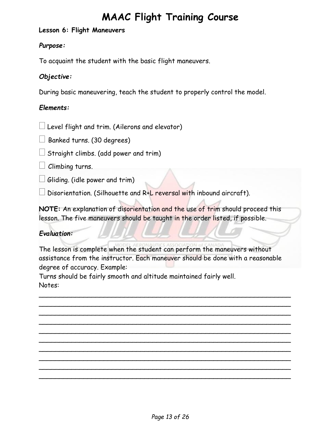#### **Lesson 6: Flight Maneuvers**

#### *Purpose:*

To acquaint the student with the basic flight maneuvers.

#### *Objective:*

During basic maneuvering, teach the student to properly control the model.

#### *Elements:*

 $\Box$  Level flight and trim. (Ailerons and elevator)

 $\Box$  Banked turns. (30 degrees)

 $\Box$  Straight climbs. (add power and trim)

 $\Box$  Climbing turns.

 $\Box$  Gliding. (idle power and trim)

Disorientation. (Silhouette and R+L reversal with inbound aircraft).

**NOTE:** An explanation of disorientation and the use of trim should proceed this lesson. The five maneuvers should be taught in the order listed, if possible.

#### *Evaluation:*

The lesson is complete when the student can perform the maneuvers without assistance from the instructor. Each maneuver should be done with a reasonable degree of accuracy. Example:

 $\sim$  . The contract of the contract of the contract of the contract of the contract of the contract of the contract of  $\sim$  . The contract of the contract of the contract of the contract of the contract of the contract of the contract of  $\sim$  . The contract of the contract of the contract of the contract of the contract of the contract of the contract of  $\sim$  . The contract of the contract of the contract of the contract of the contract of the contract of the contract of  $\sim$  . The contract of the contract of the contract of the contract of the contract of the contract of the contract of  $\sim$  . The contract of the contract of the contract of the contract of the contract of the contract of the contract of \_\_\_\_\_\_\_\_\_\_\_\_\_\_\_\_\_\_\_\_\_\_\_\_\_\_\_\_\_\_\_\_\_\_\_\_\_\_\_\_\_\_\_\_\_\_\_\_\_\_\_\_\_\_\_\_\_\_\_\_\_\_  $\sim$  . The contract of the contract of the contract of the contract of the contract of the contract of the contract of  $\sim$  . The contract of the contract of the contract of the contract of the contract of the contract of the contract of  $\sim$  . The contract of the contract of the contract of the contract of the contract of the contract of the contract of

Turns should be fairly smooth and altitude maintained fairly well. Notes: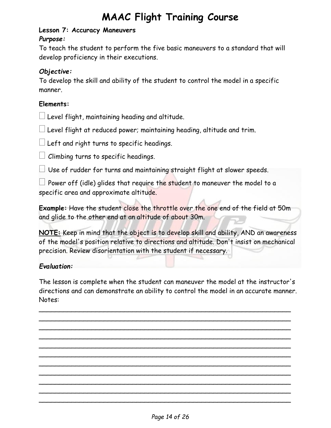#### <span id="page-13-0"></span>**Lesson 7: Accuracy Maneuvers**

#### *Purpose:*

To teach the student to perform the five basic maneuvers to a standard that will develop proficiency in their executions.

#### *Objective:*

To develop the skill and ability of the student to control the model in a specific manner.

#### **Elements:**

 $\Box$  Level flight, maintaining heading and altitude.

 $\Box$  Level flight at reduced power; maintaining heading, altitude and trim.

 $\Box$  Left and right turns to specific headings.

 $\Box$  Climbing turns to specific headings.

 $\Box$  Use of rudder for turns and maintaining straight flight at slower speeds.

 $\Box$  Power off (idle) glides that require the student to maneuver the model to a specific area and approximate altitude.

**Example:** Have the student close the throttle over the one end of the field at 50m and glide to the other end at an altitude of about 30m.

**NOTE:** Keep in mind that the object is to develop skill and ability, AND an awareness of the model's position relative to directions and altitude. Don't insist on mechanical precision. Review disorientation with the student if necessary.

#### *Evaluation:*

The lesson is complete when the student can maneuver the model at the instructor's directions and can demonstrate an ability to control the model in an accurate manner. Notes:

<span id="page-13-1"></span> $\sim$  . The contract of the contract of the contract of the contract of the contract of the contract of the contract of  $\sim$  . The contract of the contract of the contract of the contract of the contract of the contract of the contract of \_\_\_\_\_\_\_\_\_\_\_\_\_\_\_\_\_\_\_\_\_\_\_\_\_\_\_\_\_\_\_\_\_\_\_\_\_\_\_\_\_\_\_\_\_\_\_\_\_\_\_\_\_\_\_\_\_\_\_\_\_\_  $\sim$  . The contract of the contract of the contract of the contract of the contract of the contract of the contract of  $\sim$  . The contract of the contract of the contract of the contract of the contract of the contract of the contract of  $\sim$  . The contract of the contract of the contract of the contract of the contract of the contract of the contract of  $\sim$  . The contract of the contract of the contract of the contract of the contract of the contract of the contract of  $\sim$  . The contract of the contract of the contract of the contract of the contract of the contract of the contract of  $\sim$  . The contract of the contract of the contract of the contract of the contract of the contract of the contract of  $\sim$  . The contract of the contract of the contract of the contract of the contract of the contract of the contract of  $\sim$  . The contract of the contract of the contract of the contract of the contract of the contract of the contract of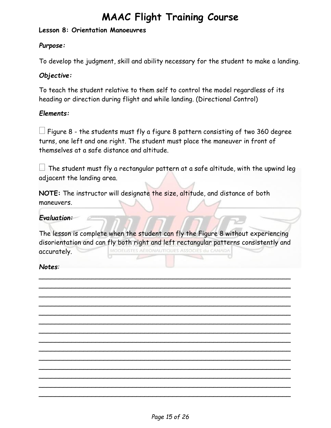#### **Lesson 8: Orientation Manoeuvres**

#### *Purpose:*

To develop the judgment, skill and ability necessary for the student to make a landing.

#### *Objective:*

To teach the student relative to them self to control the model regardless of its heading or direction during flight and while landing. (Directional Control)

#### *Elements:*

 Figure 8 - the students must fly a figure 8 pattern consisting of two 360 degree turns, one left and one right. The student must place the maneuver in front of themselves at a safe distance and altitude.

 $\Box$  The student must fly a rectangular pattern at a safe altitude, with the upwind leg adjacent the landing area.

**NOTE:** The instructor will designate the size, altitude, and distance of both maneuvers.

#### *Evaluation:*

The lesson is complete when the student can fly the Figure 8 without experiencing disorientation and can fly both right and left rectangular patterns consistently and MODÈLISTES AÉRONAUTIQUES ASSOCIÉS du CANADA accurately.

*\_\_\_\_\_\_\_\_\_\_\_\_\_\_\_\_\_\_\_\_\_\_\_\_\_\_\_\_\_\_\_\_\_\_\_\_\_\_\_\_\_\_\_\_\_\_\_\_\_\_\_\_\_\_\_\_\_\_\_\_\_\_ \_\_\_\_\_\_\_\_\_\_\_\_\_\_\_\_\_\_\_\_\_\_\_\_\_\_\_\_\_\_\_\_\_\_\_\_\_\_\_\_\_\_\_\_\_\_\_\_\_\_\_\_\_\_\_\_\_\_\_\_\_\_ \_\_\_\_\_\_\_\_\_\_\_\_\_\_\_\_\_\_\_\_\_\_\_\_\_\_\_\_\_\_\_\_\_\_\_\_\_\_\_\_\_\_\_\_\_\_\_\_\_\_\_\_\_\_\_\_\_\_\_\_\_\_ \_\_\_\_\_\_\_\_\_\_\_\_\_\_\_\_\_\_\_\_\_\_\_\_\_\_\_\_\_\_\_\_\_\_\_\_\_\_\_\_\_\_\_\_\_\_\_\_\_\_\_\_\_\_\_\_\_\_\_\_\_\_ \_\_\_\_\_\_\_\_\_\_\_\_\_\_\_\_\_\_\_\_\_\_\_\_\_\_\_\_\_\_\_\_\_\_\_\_\_\_\_\_\_\_\_\_\_\_\_\_\_\_\_\_\_\_\_\_\_\_\_\_\_\_ \_\_\_\_\_\_\_\_\_\_\_\_\_\_\_\_\_\_\_\_\_\_\_\_\_\_\_\_\_\_\_\_\_\_\_\_\_\_\_\_\_\_\_\_\_\_\_\_\_\_\_\_\_\_\_\_\_\_\_\_\_\_ \_\_\_\_\_\_\_\_\_\_\_\_\_\_\_\_\_\_\_\_\_\_\_\_\_\_\_\_\_\_\_\_\_\_\_\_\_\_\_\_\_\_\_\_\_\_\_\_\_\_\_\_\_\_\_\_\_\_\_\_\_\_ \_\_\_\_\_\_\_\_\_\_\_\_\_\_\_\_\_\_\_\_\_\_\_\_\_\_\_\_\_\_\_\_\_\_\_\_\_\_\_\_\_\_\_\_\_\_\_\_\_\_\_\_\_\_\_\_\_\_\_\_\_\_ \_\_\_\_\_\_\_\_\_\_\_\_\_\_\_\_\_\_\_\_\_\_\_\_\_\_\_\_\_\_\_\_\_\_\_\_\_\_\_\_\_\_\_\_\_\_\_\_\_\_\_\_\_\_\_\_\_\_\_\_\_\_ \_\_\_\_\_\_\_\_\_\_\_\_\_\_\_\_\_\_\_\_\_\_\_\_\_\_\_\_\_\_\_\_\_\_\_\_\_\_\_\_\_\_\_\_\_\_\_\_\_\_\_\_\_\_\_\_\_\_\_\_\_\_ \_\_\_\_\_\_\_\_\_\_\_\_\_\_\_\_\_\_\_\_\_\_\_\_\_\_\_\_\_\_\_\_\_\_\_\_\_\_\_\_\_\_\_\_\_\_\_\_\_\_\_\_\_\_\_\_\_\_\_\_\_\_ \_\_\_\_\_\_\_\_\_\_\_\_\_\_\_\_\_\_\_\_\_\_\_\_\_\_\_\_\_\_\_\_\_\_\_\_\_\_\_\_\_\_\_\_\_\_\_\_\_\_\_\_\_\_\_\_\_\_\_\_\_\_ \_\_\_\_\_\_\_\_\_\_\_\_\_\_\_\_\_\_\_\_\_\_\_\_\_\_\_\_\_\_\_\_\_\_\_\_\_\_\_\_\_\_\_\_\_\_\_\_\_\_\_\_\_\_\_\_\_\_\_\_\_\_ \_\_\_\_\_\_\_\_\_\_\_\_\_\_\_\_\_\_\_\_\_\_\_\_\_\_\_\_\_\_\_\_\_\_\_\_\_\_\_\_\_\_\_\_\_\_\_\_\_\_\_\_\_\_\_\_\_\_\_\_\_\_*

#### *Notes:*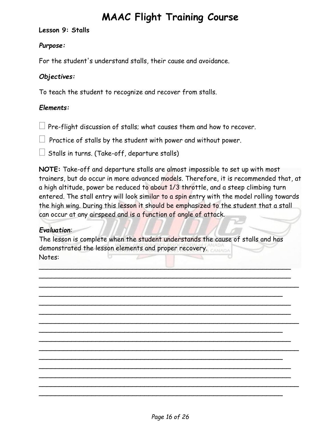<span id="page-15-0"></span>**Lesson 9: Stalls**

#### *Purpose:*

For the student's understand stalls, their cause and avoidance.

#### *Objectives:*

To teach the student to recognize and recover from stalls.

#### *Elements:*

 $\Box$  Pre-flight discussion of stalls; what causes them and how to recover.

Practice of stalls by the student with power and without power.

 $\Box$  Stalls in turns. (Take-off, departure stalls)

**NOTE:** Take-off and departure stalls are almost impossible to set up with most trainers, but do occur in more advanced models. Therefore, it is recommended that, at a high altitude, power be reduced to about 1/3 throttle, and a steep climbing turn entered. The stall entry will look similar to a spin entry with the model rolling towards the high wing. During this lesson it should be emphasized to the student that a stall can occur at any airspeed and is a function of angle of attack.

#### *Evaluation:*

The lesson is complete when the student understands the cause of stalls and has demonstrated the lesson elements and proper recovery. Notes:

 $\Box$  . The contract of the contract of  $\Box$  . The contract of the contract of  $\Box$ \_\_\_\_\_\_\_\_\_\_\_\_\_\_\_\_\_\_\_\_\_\_\_\_\_\_\_\_\_\_\_\_\_\_\_\_\_\_\_\_\_\_\_\_\_\_\_\_\_\_\_\_\_\_\_\_\_\_\_\_\_\_ \_\_\_\_\_\_\_\_\_\_\_\_\_\_\_\_\_\_\_\_\_\_\_\_\_\_\_\_\_\_\_\_\_\_\_\_\_\_\_\_\_\_\_\_\_\_\_\_\_\_\_\_\_\_\_\_\_\_\_\_\_\_\_\_

 $\sim$  . The contract of the contract of the contract of the contract of the contract of the contract of the contract of  $\sim$  . The contract of the contract of the contract of the contract of the contract of the contract of the contract of  $\sim$  . The contract of the contract of the contract of the contract of the contract of the contract of the contract of \_\_\_\_\_\_\_\_\_\_\_\_\_\_\_\_\_\_\_\_\_\_\_\_\_\_\_\_\_\_\_\_\_\_\_\_\_\_\_\_\_\_\_\_\_\_\_\_\_\_\_\_\_\_\_\_\_\_\_\_\_\_\_\_

 $\sim$  . The contract of the contract of the contract of the contract of the contract of the contract of the contract of  $\sim$  . The contract of the contract of the contract of the contract of the contract of the contract of the contract of \_\_\_\_\_\_\_\_\_\_\_\_\_\_\_\_\_\_\_\_\_\_\_\_\_\_\_\_\_\_\_\_\_\_\_\_\_\_\_\_\_\_\_\_\_\_\_\_\_\_\_\_\_\_\_\_\_\_\_\_\_\_\_\_

 $\sim$  . The contract of the contract of the contract of the contract of the contract of the contract of the contract of  $\sim$  . The contract of the contract of the contract of the contract of the contract of the contract of the contract of  $\sim$  . The contract of the contract of the contract of the contract of the contract of the contract of the contract of \_\_\_\_\_\_\_\_\_\_\_\_\_\_\_\_\_\_\_\_\_\_\_\_\_\_\_\_\_\_\_\_\_\_\_\_\_\_\_\_\_\_\_\_\_\_\_\_\_\_\_\_\_\_\_\_\_\_\_\_\_\_\_\_

\_\_\_\_\_\_\_\_\_\_\_\_\_\_\_\_\_\_\_\_\_\_\_\_\_\_\_\_\_\_\_\_\_\_\_\_\_\_\_\_\_\_\_\_\_\_\_\_\_\_\_\_\_\_\_\_\_\_\_\_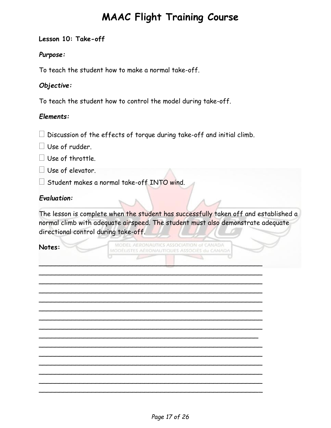#### <span id="page-16-0"></span>**Lesson 10: Take-off**

#### *Purpose:*

To teach the student how to make a normal take-off.

#### *Objective:*

To teach the student how to control the model during take-off.

#### *Elements:*

 $\square$  Discussion of the effects of torque during take-off and initial climb.

 $\Box$  Use of rudder.

- $\Box$  Use of throttle.
- Use of elevator.

 $\Box$  Student makes a normal take-off INTO wind.

#### *Evaluation:*

The lesson is complete when the student has successfully taken off and established a normal climb with adequate airspeed. The student must also demonstrate adequate directional control during take-off.

#### **Notes:**

MODEL AERONAUTICS ASSOCIATION of CANADA MODÈLISTES AÉRONAUTIQUES ASSOCIÉS du CANADA

\_\_\_\_\_\_\_\_\_\_\_\_\_\_\_\_\_\_\_\_\_\_\_\_\_\_\_\_\_\_\_\_\_\_\_\_\_\_\_\_\_\_\_\_\_\_\_\_\_\_\_\_\_\_\_ \_\_\_\_\_\_\_\_\_\_\_\_\_\_\_\_\_\_\_\_\_\_\_\_\_\_\_\_\_\_\_\_\_\_\_\_\_\_\_\_\_\_\_\_\_\_\_\_\_\_\_\_\_\_\_ \_\_\_\_\_\_\_\_\_\_\_\_\_\_\_\_\_\_\_\_\_\_\_\_\_\_\_\_\_\_\_\_\_\_\_\_\_\_\_\_\_\_\_\_\_\_\_\_\_\_\_\_\_\_\_ \_\_\_\_\_\_\_\_\_\_\_\_\_\_\_\_\_\_\_\_\_\_\_\_\_\_\_\_\_\_\_\_\_\_\_\_\_\_\_\_\_\_\_\_\_\_\_\_\_\_\_\_\_\_\_ \_\_\_\_\_\_\_\_\_\_\_\_\_\_\_\_\_\_\_\_\_\_\_\_\_\_\_\_\_\_\_\_\_\_\_\_\_\_\_\_\_\_\_\_\_\_\_\_\_\_\_\_\_\_\_ \_\_\_\_\_\_\_\_\_\_\_\_\_\_\_\_\_\_\_\_\_\_\_\_\_\_\_\_\_\_\_\_\_\_\_\_\_\_\_\_\_\_\_\_\_\_\_\_\_\_\_\_\_\_\_ \_\_\_\_\_\_\_\_\_\_\_\_\_\_\_\_\_\_\_\_\_\_\_\_\_\_\_\_\_\_\_\_\_\_\_\_\_\_\_\_\_\_\_\_\_\_\_\_\_\_\_\_\_\_\_ \_\_\_\_\_\_\_\_\_\_\_\_\_\_\_\_\_\_\_\_\_\_\_\_\_\_\_\_\_\_\_\_\_\_\_\_\_\_\_\_\_\_\_\_\_\_\_\_\_\_\_\_\_\_\_ \_\_\_\_\_\_\_\_\_\_\_\_\_\_\_\_\_\_\_\_\_\_\_\_\_\_\_\_\_\_\_\_\_\_\_\_\_\_\_\_\_\_\_\_\_\_\_\_\_\_\_\_\_\_ \_\_\_\_\_\_\_\_\_\_\_\_\_\_\_\_\_\_\_\_\_\_\_\_\_\_\_\_\_\_\_\_\_\_\_\_\_\_\_\_\_\_\_\_\_\_\_\_\_\_\_\_\_\_\_ \_\_\_\_\_\_\_\_\_\_\_\_\_\_\_\_\_\_\_\_\_\_\_\_\_\_\_\_\_\_\_\_\_\_\_\_\_\_\_\_\_\_\_\_\_\_\_\_\_\_\_\_\_\_\_ \_\_\_\_\_\_\_\_\_\_\_\_\_\_\_\_\_\_\_\_\_\_\_\_\_\_\_\_\_\_\_\_\_\_\_\_\_\_\_\_\_\_\_\_\_\_\_\_\_\_\_\_\_\_\_ \_\_\_\_\_\_\_\_\_\_\_\_\_\_\_\_\_\_\_\_\_\_\_\_\_\_\_\_\_\_\_\_\_\_\_\_\_\_\_\_\_\_\_\_\_\_\_\_\_\_\_\_\_\_\_ \_\_\_\_\_\_\_\_\_\_\_\_\_\_\_\_\_\_\_\_\_\_\_\_\_\_\_\_\_\_\_\_\_\_\_\_\_\_\_\_\_\_\_\_\_\_\_\_\_\_\_\_\_\_\_ \_\_\_\_\_\_\_\_\_\_\_\_\_\_\_\_\_\_\_\_\_\_\_\_\_\_\_\_\_\_\_\_\_\_\_\_\_\_\_\_\_\_\_\_\_\_\_\_\_\_\_\_\_\_\_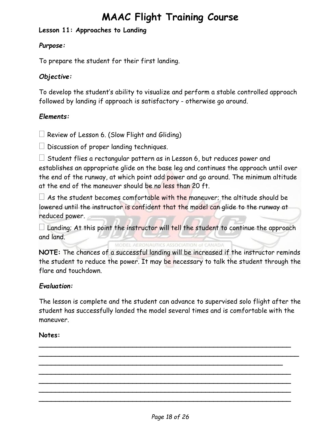#### <span id="page-17-0"></span>**Lesson 11: Approaches to Landing**

#### *Purpose:*

To prepare the student for their first landing.

#### *Objective:*

To develop the student's ability to visualize and perform a stable controlled approach followed by landing if approach is satisfactory - otherwise go around.

#### *Elements:*

 $\Box$  Review of Lesson 6. (Slow Flight and Gliding)

 $\Box$  Discussion of proper landing techniques.

 $\Box$  Student flies a rectangular pattern as in Lesson 6, but reduces power and establishes an appropriate glide on the base leg and continues the approach until over the end of the runway, at which point add power and go around. The minimum altitude at the end of the maneuver should be no less than 20 ft.

 $\Box$  As the student becomes comfortable with the maneuver; the altitude should be lowered until the instructor is confident that the model can glide to the runway at reduced power.

 $\Box$  Landing; At this point the instructor will tell the student to continue the approach and land.

MODEL AERONAUTICS ASSOCIATION of CANADA

**NOTE:** The chances of a successful landing will be increased if the instructor reminds the student to reduce the power. It may be necessary to talk the student through the flare and touchdown.

#### *Evaluation:*

The lesson is complete and the student can advance to supervised solo flight after the student has successfully landed the model several times and is comfortable with the maneuver.

**\_\_\_\_\_\_\_\_\_\_\_\_\_\_\_\_\_\_\_\_\_\_\_\_\_\_\_\_\_\_\_\_\_\_\_\_\_\_\_\_\_\_\_\_\_\_\_\_\_\_\_\_\_\_\_\_\_\_\_\_\_\_ \_\_\_\_\_\_\_\_\_\_\_\_\_\_\_\_\_\_\_\_\_\_\_\_\_\_\_\_\_\_\_\_\_\_\_\_\_\_\_\_\_\_\_\_\_\_\_\_\_\_\_\_\_\_\_\_\_\_\_\_\_\_\_\_**

**\_\_\_\_\_\_\_\_\_\_\_\_\_\_\_\_\_\_\_\_\_\_\_\_\_\_\_\_\_\_\_\_\_\_\_\_\_\_\_\_\_\_\_\_\_\_\_\_\_\_\_\_\_\_\_\_\_\_\_\_ \_\_\_\_\_\_\_\_\_\_\_\_\_\_\_\_\_\_\_\_\_\_\_\_\_\_\_\_\_\_\_\_\_\_\_\_\_\_\_\_\_\_\_\_\_\_\_\_\_\_\_\_\_\_\_\_\_\_\_\_\_\_ \_\_\_\_\_\_\_\_\_\_\_\_\_\_\_\_\_\_\_\_\_\_\_\_\_\_\_\_\_\_\_\_\_\_\_\_\_\_\_\_\_\_\_\_\_\_\_\_\_\_\_\_\_\_\_\_\_\_\_\_\_\_ \_\_\_\_\_\_\_\_\_\_\_\_\_\_\_\_\_\_\_\_\_\_\_\_\_\_\_\_\_\_\_\_\_\_\_\_\_\_\_\_\_\_\_\_\_\_\_\_\_\_\_\_\_\_\_\_\_\_\_\_\_\_ \_\_\_\_\_\_\_\_\_\_\_\_\_\_\_\_\_\_\_\_\_\_\_\_\_\_\_\_\_\_\_\_\_\_\_\_\_\_\_\_\_\_\_\_\_\_\_\_\_\_\_\_\_\_\_\_\_\_\_\_\_\_**

#### **Notes:**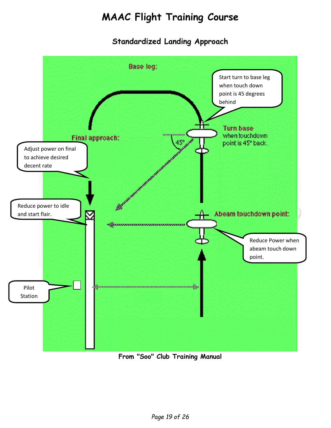### **Standardized Landing Approach**

<span id="page-18-0"></span>

**From "Soo" Club Training Manual**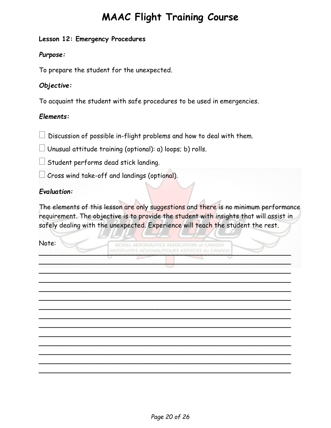#### <span id="page-19-0"></span>**Lesson 12: Emergency Procedures**

#### *Purpose:*

To prepare the student for the unexpected.

#### *Objective:*

To acquaint the student with safe procedures to be used in emergencies.

#### *Elements:*

 $\perp$  Discussion of possible in-flight problems and how to deal with them.

 $\Box$  Unusual attitude training (optional): a) loops; b) rolls.

 $\Box$  Student performs dead stick landing.

 $\perp$  Cross wind take-off and landings (optional).

#### *Evaluation:*

The elements of this lesson are only suggestions and there is no minimum performance requirement. The objective is to provide the student with insights that will assist in safely dealing with the unexpected. Experience will teach the student the rest.

Note:

MODEL AERONAUTICS ASSOCIATION of CANADA MODÈLISTES AÉRONAUTIQUES ASSOCIÉS du CANADA

<span id="page-19-1"></span>**\_\_\_\_\_\_\_\_\_\_\_\_\_\_\_\_\_\_\_\_\_\_\_\_\_\_\_\_\_\_\_\_\_\_\_\_\_\_\_\_\_\_\_\_\_\_\_\_\_\_\_\_\_\_\_\_\_\_\_\_\_\_ \_\_\_\_\_\_\_\_\_\_\_\_\_\_\_\_\_\_\_\_\_\_\_\_\_\_\_\_\_\_\_\_\_\_\_\_\_\_\_\_\_\_\_\_\_\_\_\_\_\_\_\_\_\_\_\_\_\_\_\_\_\_ \_\_\_\_\_\_\_\_\_\_\_\_\_\_\_\_\_\_\_\_\_\_\_\_\_\_\_\_\_\_\_\_\_\_\_\_\_\_\_\_\_\_\_\_\_\_\_\_\_\_\_\_\_\_\_\_\_\_\_\_\_\_ \_\_\_\_\_\_\_\_\_\_\_\_\_\_\_\_\_\_\_\_\_\_\_\_\_\_\_\_\_\_\_\_\_\_\_\_\_\_\_\_\_\_\_\_\_\_\_\_\_\_\_\_\_\_\_\_\_\_\_\_\_\_ \_\_\_\_\_\_\_\_\_\_\_\_\_\_\_\_\_\_\_\_\_\_\_\_\_\_\_\_\_\_\_\_\_\_\_\_\_\_\_\_\_\_\_\_\_\_\_\_\_\_\_\_\_\_\_\_\_\_\_\_\_\_ \_\_\_\_\_\_\_\_\_\_\_\_\_\_\_\_\_\_\_\_\_\_\_\_\_\_\_\_\_\_\_\_\_\_\_\_\_\_\_\_\_\_\_\_\_\_\_\_\_\_\_\_\_\_\_\_\_\_\_\_\_\_ \_\_\_\_\_\_\_\_\_\_\_\_\_\_\_\_\_\_\_\_\_\_\_\_\_\_\_\_\_\_\_\_\_\_\_\_\_\_\_\_\_\_\_\_\_\_\_\_\_\_\_\_\_\_\_\_\_\_\_\_\_\_ \_\_\_\_\_\_\_\_\_\_\_\_\_\_\_\_\_\_\_\_\_\_\_\_\_\_\_\_\_\_\_\_\_\_\_\_\_\_\_\_\_\_\_\_\_\_\_\_\_\_\_\_\_\_\_\_\_\_\_\_\_\_ \_\_\_\_\_\_\_\_\_\_\_\_\_\_\_\_\_\_\_\_\_\_\_\_\_\_\_\_\_\_\_\_\_\_\_\_\_\_\_\_\_\_\_\_\_\_\_\_\_\_\_\_\_\_\_\_\_\_\_\_\_\_ \_\_\_\_\_\_\_\_\_\_\_\_\_\_\_\_\_\_\_\_\_\_\_\_\_\_\_\_\_\_\_\_\_\_\_\_\_\_\_\_\_\_\_\_\_\_\_\_\_\_\_\_\_\_\_\_\_\_\_\_\_\_ \_\_\_\_\_\_\_\_\_\_\_\_\_\_\_\_\_\_\_\_\_\_\_\_\_\_\_\_\_\_\_\_\_\_\_\_\_\_\_\_\_\_\_\_\_\_\_\_\_\_\_\_\_\_\_\_\_\_\_\_\_\_ \_\_\_\_\_\_\_\_\_\_\_\_\_\_\_\_\_\_\_\_\_\_\_\_\_\_\_\_\_\_\_\_\_\_\_\_\_\_\_\_\_\_\_\_\_\_\_\_\_\_\_\_\_\_\_\_\_\_\_\_\_\_ \_\_\_\_\_\_\_\_\_\_\_\_\_\_\_\_\_\_\_\_\_\_\_\_\_\_\_\_\_\_\_\_\_\_\_\_\_\_\_\_\_\_\_\_\_\_\_\_\_\_\_\_\_\_\_\_\_\_\_\_\_\_**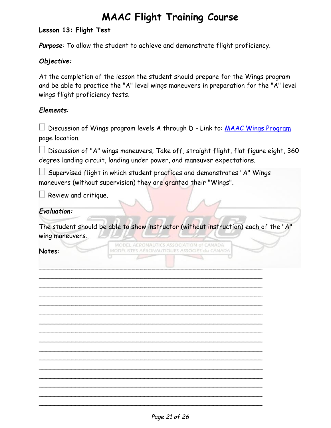#### **Lesson 13: Flight Test**

*Purpose:* To allow the student to achieve and demonstrate flight proficiency.

#### *Objective:*

At the completion of the lesson the student should prepare for the Wings program and be able to practice the "A" level wings maneuvers in preparation for the "A" level wings flight proficiency tests.

#### *Elements:*

 $\Box$  Discussion of Wings program levels A through D - Link to: [MAAC Wings Program](http://www.maac.ca/en/documents.php) page location.

 $\Box$  Discussion of "A" wings maneuvers; Take off, straight flight, flat figure eight, 360 degree landing circuit, landing under power, and maneuver expectations.

 Supervised flight in which student practices and demonstrates "A" Wings maneuvers (without supervision) they are granted their "Wings".

Review and critique.

#### *Evaluation:*

The student should be able to show instructor (without instruction) each of the "A" wing maneuvers.

**Notes:**

MODEL AERONAUTICS ASSOCIATION of CANADA MODÉLISTES AÉRONAUTIQUES ASSOCIÉS du CANADA

 $\Box$ \_\_\_\_\_\_\_\_\_\_\_\_\_\_\_\_\_\_\_\_\_\_\_\_\_\_\_\_\_\_\_\_\_\_\_\_\_\_\_\_\_\_\_\_\_\_\_\_\_\_\_\_\_\_\_ \_\_\_\_\_\_\_\_\_\_\_\_\_\_\_\_\_\_\_\_\_\_\_\_\_\_\_\_\_\_\_\_\_\_\_\_\_\_\_\_\_\_\_\_\_\_\_\_\_\_\_\_\_\_\_ \_\_\_\_\_\_\_\_\_\_\_\_\_\_\_\_\_\_\_\_\_\_\_\_\_\_\_\_\_\_\_\_\_\_\_\_\_\_\_\_\_\_\_\_\_\_\_\_\_\_\_\_\_\_\_ \_\_\_\_\_\_\_\_\_\_\_\_\_\_\_\_\_\_\_\_\_\_\_\_\_\_\_\_\_\_\_\_\_\_\_\_\_\_\_\_\_\_\_\_\_\_\_\_\_\_\_\_\_\_\_ \_\_\_\_\_\_\_\_\_\_\_\_\_\_\_\_\_\_\_\_\_\_\_\_\_\_\_\_\_\_\_\_\_\_\_\_\_\_\_\_\_\_\_\_\_\_\_\_\_\_\_\_\_\_\_ \_\_\_\_\_\_\_\_\_\_\_\_\_\_\_\_\_\_\_\_\_\_\_\_\_\_\_\_\_\_\_\_\_\_\_\_\_\_\_\_\_\_\_\_\_\_\_\_\_\_\_\_\_\_\_ \_\_\_\_\_\_\_\_\_\_\_\_\_\_\_\_\_\_\_\_\_\_\_\_\_\_\_\_\_\_\_\_\_\_\_\_\_\_\_\_\_\_\_\_\_\_\_\_\_\_\_\_\_\_\_ \_\_\_\_\_\_\_\_\_\_\_\_\_\_\_\_\_\_\_\_\_\_\_\_\_\_\_\_\_\_\_\_\_\_\_\_\_\_\_\_\_\_\_\_\_\_\_\_\_\_\_\_\_\_\_ \_\_\_\_\_\_\_\_\_\_\_\_\_\_\_\_\_\_\_\_\_\_\_\_\_\_\_\_\_\_\_\_\_\_\_\_\_\_\_\_\_\_\_\_\_\_\_\_\_\_\_\_\_\_\_ \_\_\_\_\_\_\_\_\_\_\_\_\_\_\_\_\_\_\_\_\_\_\_\_\_\_\_\_\_\_\_\_\_\_\_\_\_\_\_\_\_\_\_\_\_\_\_\_\_\_\_\_\_\_\_ \_\_\_\_\_\_\_\_\_\_\_\_\_\_\_\_\_\_\_\_\_\_\_\_\_\_\_\_\_\_\_\_\_\_\_\_\_\_\_\_\_\_\_\_\_\_\_\_\_\_\_\_\_\_\_ \_\_\_\_\_\_\_\_\_\_\_\_\_\_\_\_\_\_\_\_\_\_\_\_\_\_\_\_\_\_\_\_\_\_\_\_\_\_\_\_\_\_\_\_\_\_\_\_\_\_\_\_\_\_\_ \_\_\_\_\_\_\_\_\_\_\_\_\_\_\_\_\_\_\_\_\_\_\_\_\_\_\_\_\_\_\_\_\_\_\_\_\_\_\_\_\_\_\_\_\_\_\_\_\_\_\_\_\_\_\_ \_\_\_\_\_\_\_\_\_\_\_\_\_\_\_\_\_\_\_\_\_\_\_\_\_\_\_\_\_\_\_\_\_\_\_\_\_\_\_\_\_\_\_\_\_\_\_\_\_\_\_\_\_\_\_ \_\_\_\_\_\_\_\_\_\_\_\_\_\_\_\_\_\_\_\_\_\_\_\_\_\_\_\_\_\_\_\_\_\_\_\_\_\_\_\_\_\_\_\_\_\_\_\_\_\_\_\_\_\_\_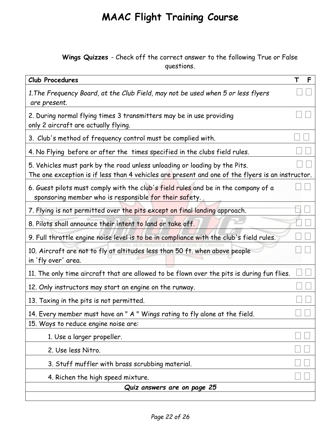#### **Wings Quizzes** - Check off the correct answer to the following True or False questions.

<span id="page-21-0"></span>

| Club Procedures                                                                                                                                                                | F |
|--------------------------------------------------------------------------------------------------------------------------------------------------------------------------------|---|
| 1. The Frequency Board, at the Club Field, may not be used when 5 or less flyers<br>are present.                                                                               |   |
| 2. During normal flying times 3 transmitters may be in use providing<br>only 2 aircraft are actually flying.                                                                   |   |
| 3. Club's method of frequency control must be complied with.                                                                                                                   |   |
| 4. No Flying before or after the times specified in the clubs field rules.                                                                                                     |   |
| 5. Vehicles must park by the road unless unloading or loading by the Pits.<br>The one exception is if less than 4 vehicles are present and one of the flyers is an instructor. |   |
| 6. Guest pilots must comply with the club's field rules and be in the company of a<br>sponsoring member who is responsible for their safety.                                   |   |
| 7. Flying is not permitted over the pits except on final landing approach.                                                                                                     |   |
| 8. Pilots shall announce their intent to land or take off.                                                                                                                     |   |
| 9. Full throttle engine noise level is to be in compliance with the club's field rules.                                                                                        |   |
| 10. Aircraft are not to fly at altitudes less than 50 ft. when above people<br>in 'fly over' area.                                                                             |   |
| 11. The only time aircraft that are allowed to be flown over the pits is during fun flies.                                                                                     |   |
| 12. Only instructors may start an engine on the runway.                                                                                                                        |   |
| 13. Taxing in the pits is not permitted.                                                                                                                                       |   |
| 14. Every member must have an " A " Wings rating to fly alone at the field.                                                                                                    |   |
| 15. Ways to reduce engine noise are:                                                                                                                                           |   |
| 1. Use a larger propeller.                                                                                                                                                     |   |
| 2. Use less Nitro.                                                                                                                                                             |   |
| 3. Stuff muffler with brass scrubbing material.                                                                                                                                |   |
| 4. Richen the high speed mixture.                                                                                                                                              |   |
| Quiz answers are on page 25                                                                                                                                                    |   |
|                                                                                                                                                                                |   |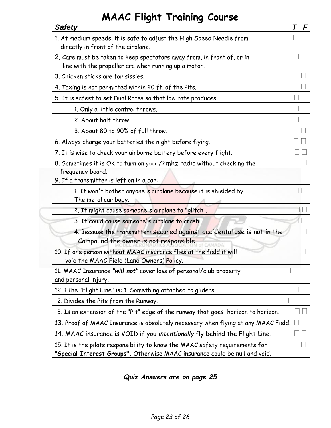<span id="page-22-0"></span>

| <b>Safety</b>                                                                                                                                               | T F |
|-------------------------------------------------------------------------------------------------------------------------------------------------------------|-----|
| 1. At medium speeds, it is safe to adjust the High Speed Needle from<br>directly in front of the airplane.                                                  |     |
| 2. Care must be taken to keep spectators away from, in front of, or in<br>line with the propeller arc when running up a motor.                              |     |
| 3. Chicken sticks are for sissies.                                                                                                                          |     |
| 4. Taxing is not permitted within 20 ft. of the Pits.                                                                                                       |     |
| 5. It is safest to set Dual Rates so that low rate produces.                                                                                                |     |
| 1. Only a little control throws.                                                                                                                            |     |
| 2. About half throw.                                                                                                                                        |     |
| 3. About 80 to 90% of full throw.                                                                                                                           |     |
| 6. Always charge your batteries the night before flying.                                                                                                    |     |
| 7. It is wise to check your airborne battery before every flight.                                                                                           |     |
| 8. Sometimes it is OK to turn on your 72mhz radio without checking the<br>frequency board.                                                                  |     |
| 9. If a transmitter is left on in a car:                                                                                                                    |     |
| 1. It won't bother anyone's airplane because it is shielded by<br>The metal car body.                                                                       |     |
| 2. It might cause someone's airplane to "glitch".                                                                                                           |     |
| 3. It could cause someone's airplane to crash.                                                                                                              |     |
| 4. Because the transmitters secured against accidental use is not in the<br>Compound the owner is not responsible                                           |     |
| 10. If one person without MAAC insurance flies at the field it will<br>void the MAAC Field (Land Owners) Policy.                                            |     |
| 11. MAAC Insurance "will not" cover loss of personal/club property<br>and personal injury.                                                                  |     |
| 12. 1The "Flight Line" is: 1. Something attached to gliders.                                                                                                |     |
| 2. Divides the Pits from the Runway.                                                                                                                        |     |
| 3. Is an extension of the "Pit" edge of the runway that goes horizon to horizon.                                                                            |     |
| 13. Proof of MAAC Insurance is absolutely necessary when flying at any MAAC Field.                                                                          |     |
| 14. MAAC insurance is VOID if you <i>intentionally</i> fly behind the Flight Line.                                                                          |     |
| 15. It is the pilots responsibility to know the MAAC safety requirements for<br>"Special Interest Groups". Otherwise MAAC insurance could be null and void. |     |

*Quiz Answers are on page 25*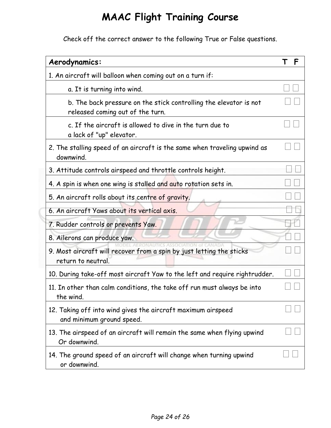Check off the correct answer to the following True or False questions.

<span id="page-23-0"></span>

| Aerodynamics:                                                                                         | F |
|-------------------------------------------------------------------------------------------------------|---|
| 1. An aircraft will balloon when coming out on a turn if:                                             |   |
| a. It is turning into wind.                                                                           |   |
| b. The back pressure on the stick controlling the elevator is not<br>released coming out of the turn. |   |
| c. If the aircraft is allowed to dive in the turn due to<br>a lack of "up" elevator.                  |   |
| 2. The stalling speed of an aircraft is the same when traveling upwind as<br>downwind.                |   |
| 3. Attitude controls airspeed and throttle controls height.                                           |   |
| 4. A spin is when one wing is stalled and auto rotation sets in.                                      |   |
| 5. An aircraft rolls about its centre of gravity.                                                     |   |
| 6. An aircraft Yaws about its vertical axis.                                                          |   |
| 7. Rudder controls or prevents Yaw.                                                                   |   |
| 8. Ailerons can produce yaw.                                                                          |   |
| 9. Most aircraft will recover from a spin by just letting the sticks<br>return to neutral.            |   |
| 10. During take-off most aircraft Yaw to the left and require rightrudder.                            |   |
| 11. In other than calm conditions, the take off run must always be into<br>the wind.                  |   |
| 12. Taking off into wind gives the aircraft maximum airspeed<br>and minimum ground speed.             |   |
| 13. The airspeed of an aircraft will remain the same when flying upwind<br>Or downwind.               |   |
| 14. The ground speed of an aircraft will change when turning upwind<br>or downwind.                   |   |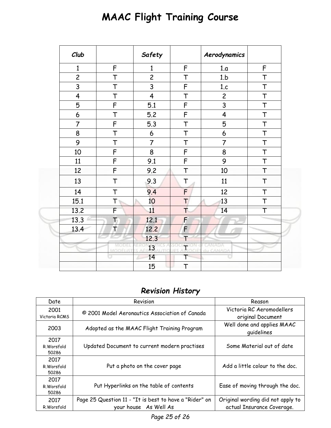<span id="page-24-0"></span>

| Club                    |                   | Safety                  |                    | Aerodynamics            |        |  |
|-------------------------|-------------------|-------------------------|--------------------|-------------------------|--------|--|
| $\mathbf{1}$            | F                 | $\mathbf{1}$            | F                  | 1.a                     | F      |  |
| $\overline{c}$          | T                 | $\overline{c}$          | $\top$             | 1.b                     | T      |  |
| $\overline{3}$          | T                 | 3                       | $\mathsf F$        | 1.c                     | $\top$ |  |
| $\overline{\mathbf{4}}$ | T                 | $\overline{\mathbf{4}}$ | $\top$             | $\overline{c}$          | $\top$ |  |
| 5                       | F                 | 5.1                     | F                  | 3                       | $\top$ |  |
| $\boldsymbol{6}$        | T                 | 5.2                     | $\mathsf F$        | $\overline{\mathbf{4}}$ | T      |  |
| $\overline{7}$          | F                 | 5.3                     | T                  | 5                       | T      |  |
| 8                       | T                 | 6                       | T                  | 6                       | $\top$ |  |
| 9                       | T                 | $\overline{7}$          | T                  | $\overline{7}$          | $\top$ |  |
| 10                      | F                 | 8                       | F                  | 8                       | $\top$ |  |
| 11                      | F                 | 9.1                     | F                  | 9                       | $\top$ |  |
| 12                      | F                 | 9.2                     | $\top$             | 10                      | T      |  |
| 13                      | T                 | 9.3                     | T                  | 11                      | $\top$ |  |
| 14                      | $\top$            | 9.4                     | F                  | 12                      | T      |  |
| 15.1                    | $T$ is            | 10                      | Т                  | 13                      | $\top$ |  |
| 13.2                    | $\overline{F}$    | 11                      | $\top$             | 14                      | T      |  |
| 13.3                    | T                 | 12.1                    | F                  |                         |        |  |
| 13.4                    | T                 | 12.2                    | F                  |                         |        |  |
|                         |                   | 12.3                    |                    |                         |        |  |
|                         | MODEL<br>MODÈLIST | 13                      | ATION 0<br>PSOCIÉS | CANADA<br>du CANADA     |        |  |
|                         |                   | 14                      | Т                  |                         |        |  |
|                         |                   | 15                      | $\top$             |                         |        |  |

### *Revision History*

<span id="page-24-1"></span>

| Date                        | Revision                                                                        | Reason                                                          |
|-----------------------------|---------------------------------------------------------------------------------|-----------------------------------------------------------------|
| 2001<br>Victoria RCMS       | © 2001 Model Aeronautics Association of Canada                                  | Victoria RC Aeromodellers<br>original Document                  |
| 2003                        | Adopted as the MAAC Flight Training Program                                     | Well done and applies MAAC<br>quidelines                        |
| 2017<br>R.Worsfold<br>50286 | Updated Document to current modern practises                                    | Some Material out of date                                       |
| 2017<br>R.Worsfold<br>50286 | Put a photo on the cover page                                                   | Add a little colour to the doc.                                 |
| 2017<br>R.Worsfold<br>50286 | Put Hyperlinks on the table of contents                                         | Ease of moving through the doc.                                 |
| 2017<br>R.Worsfold          | Page 25 Question 11 - "It is best to have a "Rider" on<br>your house As Well As | Original wording did not apply to<br>actual Insurance Coverage. |